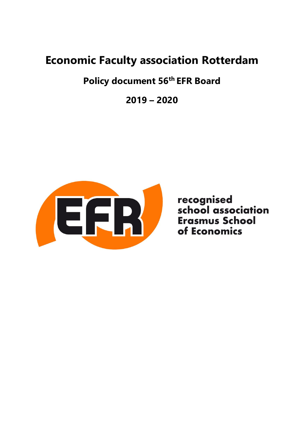# **Economic Faculty association Rotterdam**

# **Policy document 56th EFR Board**

**2019 – 2020**



recognised<br>school association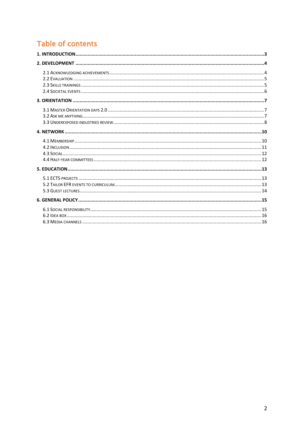# Table of contents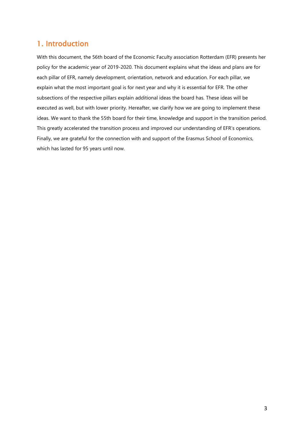# <span id="page-2-0"></span>1. Introduction

With this document, the 56th board of the Economic Faculty association Rotterdam (EFR) presents her policy for the academic year of 2019-2020. This document explains what the ideas and plans are for each pillar of EFR, namely development, orientation, network and education. For each pillar, we explain what the most important goal is for next year and why it is essential for EFR. The other subsections of the respective pillars explain additional ideas the board has. These ideas will be executed as well, but with lower priority. Hereafter, we clarify how we are going to implement these ideas. We want to thank the 55th board for their time, knowledge and support in the transition period. This greatly accelerated the transition process and improved our understanding of EFR's operations. Finally, we are grateful for the connection with and support of the Erasmus School of Economics, which has lasted for 95 years until now.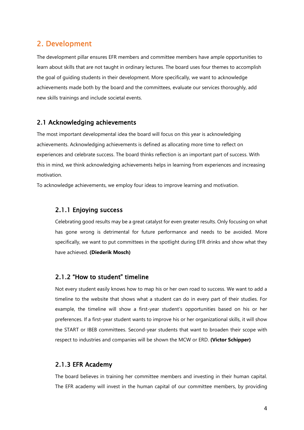# <span id="page-3-0"></span>2. Development

The development pillar ensures EFR members and committee members have ample opportunities to learn about skills that are not taught in ordinary lectures. The board uses four themes to accomplish the goal of guiding students in their development. More specifically, we want to acknowledge achievements made both by the board and the committees, evaluate our services thoroughly, add new skills trainings and include societal events.

#### <span id="page-3-1"></span>2.1 Acknowledging achievements

The most important developmental idea the board will focus on this year is acknowledging achievements. Acknowledging achievements is defined as allocating more time to reflect on experiences and celebrate success. The board thinks reflection is an important part of success. With this in mind, we think acknowledging achievements helps in learning from experiences and increasing motivation.

To acknowledge achievements, we employ four ideas to improve learning and motivation.

#### 2.1.1 Enjoying success

Celebrating good results may be a great catalyst for even greater results. Only focusing on what has gone wrong is detrimental for future performance and needs to be avoided. More specifically, we want to put committees in the spotlight during EFR drinks and show what they have achieved. **(Diederik Mosch)**

#### 2.1.2 "How to student" timeline

Not every student easily knows how to map his or her own road to success. We want to add a timeline to the website that shows what a student can do in every part of their studies. For example, the timeline will show a first-year student's opportunities based on his or her preferences. If a first-year student wants to improve his or her organizational skills, it will show the START or IBEB committees. Second-year students that want to broaden their scope with respect to industries and companies will be shown the MCW or ERD. **(Victor Schipper)**

#### 2.1.3 EFR Academy

The board believes in training her committee members and investing in their human capital. The EFR academy will invest in the human capital of our committee members, by providing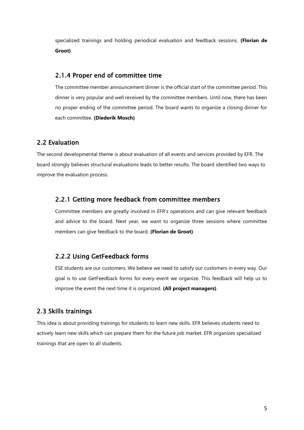specialized trainings and holding periodical evaluation and feedback sessions. **(Florian de Groot)**

#### 2.1.4 Proper end of committee time

The committee member announcement dinner is the official start of the committee period. This dinner is very popular and well received by the committee members. Until now, there has been no proper ending of the committee period. The board wants to organize a closing dinner for each committee. **(Diederik Mosch)**

#### <span id="page-4-0"></span>2.2 Evaluation

The second developmental theme is about evaluation of all events and services provided by EFR. The board strongly believes structural evaluations leads to better results. The board identified two ways to improve the evaluation process.

#### 2.2.1 Getting more feedback from committee members

Committee members are greatly involved in EFR's operations and can give relevant feedback and advice to the board. Next year, we want to organize three sessions where committee members can give feedback to the board. **(Florian de Groot)**

## 2.2.2 Using GetFeedback forms

ESE students are our customers. We believe we need to satisfy our customers in every way. Our goal is to use GetFeedback forms for every event we organize. This feedback will help us to improve the event the next time it is organized. **(All project managers)**.

#### <span id="page-4-1"></span>2.3 Skills trainings

This idea is about providing trainings for students to learn new skills. EFR believes students need to actively learn new skills which can prepare them for the future job market. EFR organizes specialized trainings that are open to all students.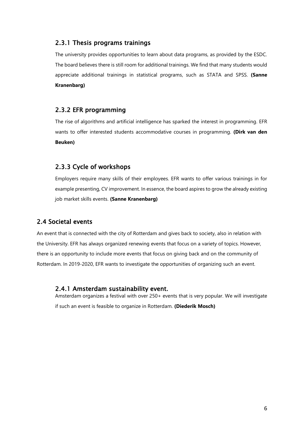#### 2.3.1 Thesis programs trainings

The university provides opportunities to learn about data programs, as provided by the ESDC. The board believes there is still room for additional trainings. We find that many students would appreciate additional trainings in statistical programs, such as STATA and SPSS. **(Sanne Kranenbarg)**

## 2.3.2 EFR programming

The rise of algorithms and artificial intelligence has sparked the interest in programming. EFR wants to offer interested students accommodative courses in programming. **(Dirk van den Beuken)**

## 2.3.3 Cycle of workshops

Employers require many skills of their employees. EFR wants to offer various trainings in for example presenting, CV improvement. In essence, the board aspires to grow the already existing job market skills events. **(Sanne Kranenbarg)**

#### <span id="page-5-0"></span>2.4 Societal events

An event that is connected with the city of Rotterdam and gives back to society, also in relation with the University. EFR has always organized renewing events that focus on a variety of topics. However, there is an opportunity to include more events that focus on giving back and on the community of Rotterdam. In 2019-2020, EFR wants to investigate the opportunities of organizing such an event.

#### 2.4.1 Amsterdam sustainability event.

Amsterdam organizes a festival with over 250+ events that is very popular. We will investigate if such an event is feasible to organize in Rotterdam. **(Diederik Mosch)**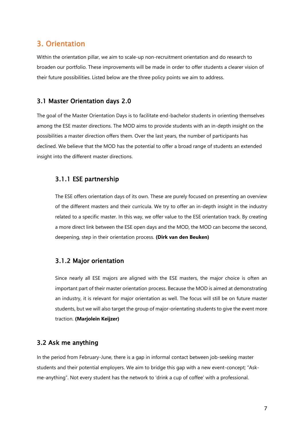# <span id="page-6-0"></span>3. Orientation

Within the orientation pillar, we aim to scale-up non-recruitment orientation and do research to broaden our portfolio. These improvements will be made in order to offer students a clearer vision of their future possibilities. Listed below are the three policy points we aim to address.

#### <span id="page-6-1"></span>3.1 Master Orientation days 2.0

The goal of the Master Orientation Days is to facilitate end-bachelor students in orienting themselves among the ESE master directions. The MOD aims to provide students with an in-depth insight on the possibilities a master direction offers them. Over the last years, the number of participants has declined. We believe that the MOD has the potential to offer a broad range of students an extended insight into the different master directions.

#### 3.1.1 ESE partnership

The ESE offers orientation days of its own. These are purely focused on presenting an overview of the different masters and their curricula. We try to offer an in-depth insight in the industry related to a specific master. In this way, we offer value to the ESE orientation track. By creating a more direct link between the ESE open days and the MOD, the MOD can become the second, deepening, step in their orientation process. **(Dirk van den Beuken)**

#### 3.1.2 Major orientation

Since nearly all ESE majors are aligned with the ESE masters, the major choice is often an important part of their master orientation process. Because the MOD is aimed at demonstrating an industry, it is relevant for major orientation as well. The focus will still be on future master students, but we will also target the group of major-orientating students to give the event more traction. **(Marjolein Keijzer)**

#### <span id="page-6-2"></span>3.2 Ask me anything

In the period from February-June, there is a gap in informal contact between job-seeking master students and their potential employers. We aim to bridge this gap with a new event-concept; "Askme-anything". Not every student has the network to 'drink a cup of coffee' with a professional.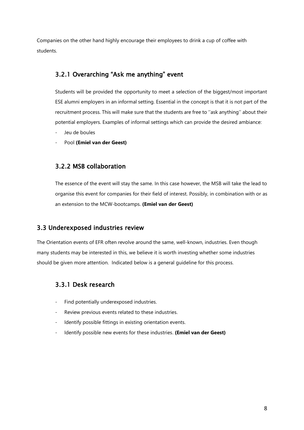Companies on the other hand highly encourage their employees to drink a cup of coffee with students.

# 3.2.1 Overarching "Ask me anything" event

Students will be provided the opportunity to meet a selection of the biggest/most important ESE alumni employers in an informal setting. Essential in the concept is that it is not part of the recruitment process. This will make sure that the students are free to ''ask anything'' about their potential employers. Examples of informal settings which can provide the desired ambiance:

- Jeu de boules
- Pool **(Emiel van der Geest)**

## 3.2.2 MSB collaboration

The essence of the event will stay the same. In this case however, the MSB will take the lead to organise this event for companies for their field of interest. Possibly, in combination with or as an extension to the MCW-bootcamps. **(Emiel van der Geest)**

## <span id="page-7-0"></span>3.3 Underexposed industries review

The Orientation events of EFR often revolve around the same, well-known, industries. Even though many students may be interested in this, we believe it is worth investing whether some industries should be given more attention. Indicated below is a general guideline for this process.

## 3.3.1 Desk research

- Find potentially underexposed industries.
- Review previous events related to these industries.
- Identify possible fittings in existing orientation events.
- Identify possible new events for these industries. (**Emiel van der Geest**)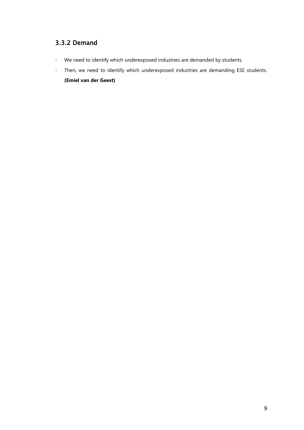# 3.3.2 Demand

- We need to identify which underexposed industries are demanded by students.
- Then, we need to identify which underexposed industries are demanding ESE students.

**(Emiel van der Geest)**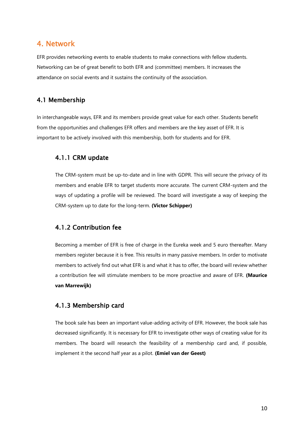# <span id="page-9-0"></span>4. Network

EFR provides networking events to enable students to make connections with fellow students. Networking can be of great benefit to both EFR and (committee) members. It increases the attendance on social events and it sustains the continuity of the association.

## <span id="page-9-1"></span>4.1 Membership

In interchangeable ways, EFR and its members provide great value for each other. Students benefit from the opportunities and challenges EFR offers and members are the key asset of EFR. It is important to be actively involved with this membership, both for students and for EFR.

## 4.1.1 CRM update

The CRM-system must be up-to-date and in line with GDPR. This will secure the privacy of its members and enable EFR to target students more accurate. The current CRM-system and the ways of updating a profile will be reviewed. The board will investigate a way of keeping the CRM-system up to date for the long-term. **(Victor Schipper)**

## 4.1.2 Contribution fee

Becoming a member of EFR is free of charge in the Eureka week and 5 euro thereafter. Many members register because it is free. This results in many passive members. In order to motivate members to actively find out what EFR is and what it has to offer, the board will review whether a contribution fee will stimulate members to be more proactive and aware of EFR. **(Maurice van Marrewijk)**

## 4.1.3 Membership card

The book sale has been an important value-adding activity of EFR. However, the book sale has decreased significantly. It is necessary for EFR to investigate other ways of creating value for its members. The board will research the feasibility of a membership card and, if possible, implement it the second half year as a pilot. **(Emiel van der Geest)**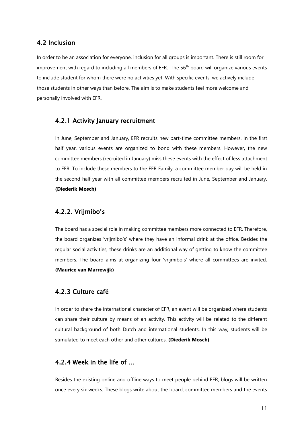#### <span id="page-10-0"></span>4.2 Inclusion

In order to be an association for everyone, inclusion for all groups is important. There is still room for improvement with regard to including all members of EFR. The 56<sup>th</sup> board will organize various events to include student for whom there were no activities yet. With specific events, we actively include those students in other ways than before. The aim is to make students feel more welcome and personally involved with EFR.

#### 4.2.1 Activity January recruitment

In June, September and January, EFR recruits new part-time committee members. In the first half year, various events are organized to bond with these members. However, the new committee members (recruited in January) miss these events with the effect of less attachment to EFR. To include these members to the EFR Family, a committee member day will be held in the second half year with all committee members recruited in June, September and January. **(Diederik Mosch)**

#### 4.2.2. Vrijmibo's

The board has a special role in making committee members more connected to EFR. Therefore, the board organizes 'vrijmibo's' where they have an informal drink at the office. Besides the regular social activities, these drinks are an additional way of getting to know the committee members. The board aims at organizing four 'vrijmibo's' where all committees are invited. **(Maurice van Marrewijk)** 

#### 4.2.3 Culture café

In order to share the international character of EFR, an event will be organized where students can share their culture by means of an activity. This activity will be related to the different cultural background of both Dutch and international students. In this way, students will be stimulated to meet each other and other cultures. **(Diederik Mosch)**

#### 4.2.4 Week in the life of …

Besides the existing online and offline ways to meet people behind EFR, blogs will be written once every six weeks. These blogs write about the board, committee members and the events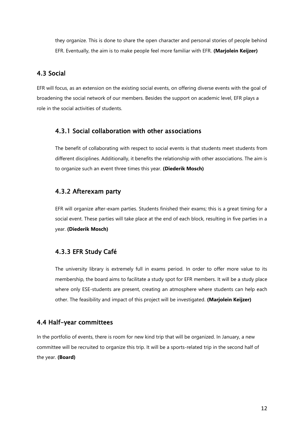they organize. This is done to share the open character and personal stories of people behind EFR. Eventually, the aim is to make people feel more familiar with EFR. **(Marjolein Keijzer)**

#### <span id="page-11-0"></span>4.3 Social

EFR will focus, as an extension on the existing social events, on offering diverse events with the goal of broadening the social network of our members. Besides the support on academic level, EFR plays a role in the social activities of students.

#### 4.3.1 Social collaboration with other associations

The benefit of collaborating with respect to social events is that students meet students from different disciplines. Additionally, it benefits the relationship with other associations. The aim is to organize such an event three times this year. **(Diederik Mosch)**

#### 4.3.2 Afterexam party

EFR will organize after-exam parties. Students finished their exams; this is a great timing for a social event. These parties will take place at the end of each block, resulting in five parties in a year. **(Diederik Mosch)**

#### 4.3.3 EFR Study Café

The university library is extremely full in exams period. In order to offer more value to its membership, the board aims to facilitate a study spot for EFR members. It will be a study place where only ESE-students are present, creating an atmosphere where students can help each other. The feasibility and impact of this project will be investigated. **(Marjolein Keijzer)**

## <span id="page-11-1"></span>4.4 Half-year committees

In the portfolio of events, there is room for new kind trip that will be organized. In January, a new committee will be recruited to organize this trip. It will be a sports-related trip in the second half of the year. **(Board)**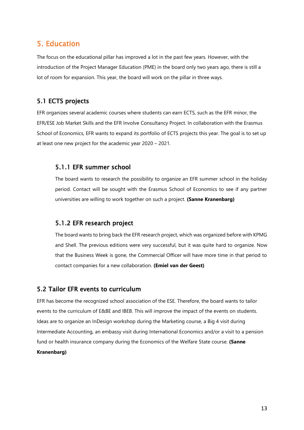# <span id="page-12-0"></span>5. Education

The focus on the educational pillar has improved a lot in the past few years. However, with the introduction of the Project Manager Education (PME) in the board only two years ago, there is still a lot of room for expansion. This year, the board will work on the pillar in three ways.

## <span id="page-12-1"></span>5.1 ECTS projects

EFR organizes several academic courses where students can earn ECTS, such as the EFR minor, the EFR/ESE Job Market Skills and the EFR Involve Consultancy Project. In collaboration with the Erasmus School of Economics, EFR wants to expand its portfolio of ECTS projects this year. The goal is to set up at least one new project for the academic year 2020 – 2021.

#### 5.1.1 EFR summer school

The board wants to research the possibility to organize an EFR summer school in the holiday period. Contact will be sought with the Erasmus School of Economics to see if any partner universities are willing to work together on such a project. **(Sanne Kranenbarg)**

#### 5.1.2 EFR research project

The board wants to bring back the EFR research project, which was organized before with KPMG and Shell. The previous editions were very successful, but it was quite hard to organize. Now that the Business Week is gone, the Commercial Officer will have more time in that period to contact companies for a new collaboration. **(Emiel van der Geest)**

## <span id="page-12-2"></span>5.2 Tailor EFR events to curriculum

EFR has become the recognized school association of the ESE. Therefore, the board wants to tailor events to the curriculum of E&BE and IBEB. This will improve the impact of the events on students. Ideas are to organize an InDesign workshop during the Marketing course, a Big 4 visit during Intermediate Accounting, an embassy visit during International Economics and/or a visit to a pension fund or health insurance company during the Economics of the Welfare State course. **(Sanne** 

#### **Kranenbarg)**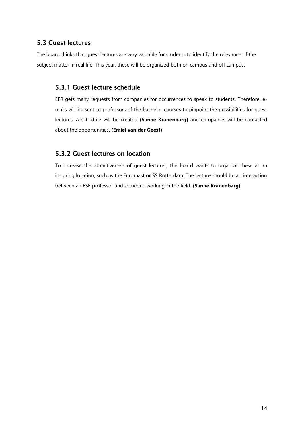# <span id="page-13-0"></span>5.3 Guest lectures

The board thinks that guest lectures are very valuable for students to identify the relevance of the subject matter in real life. This year, these will be organized both on campus and off campus.

# 5.3.1 Guest lecture schedule

EFR gets many requests from companies for occurrences to speak to students. Therefore, emails will be sent to professors of the bachelor courses to pinpoint the possibilities for guest lectures. A schedule will be created **(Sanne Kranenbarg)** and companies will be contacted about the opportunities. **(Emiel van der Geest)**

# 5.3.2 Guest lectures on location

To increase the attractiveness of guest lectures, the board wants to organize these at an inspiring location, such as the Euromast or SS Rotterdam. The lecture should be an interaction between an ESE professor and someone working in the field. **(Sanne Kranenbarg)**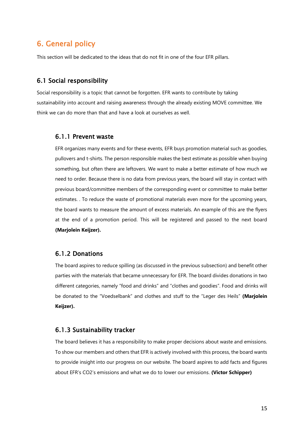# <span id="page-14-0"></span>6. General policy

This section will be dedicated to the ideas that do not fit in one of the four EFR pillars.

#### <span id="page-14-1"></span>6.1 Social responsibility

Social responsibility is a topic that cannot be forgotten. EFR wants to contribute by taking sustainability into account and raising awareness through the already existing MOVE committee. We think we can do more than that and have a look at ourselves as well.

#### 6.1.1 Prevent waste

EFR organizes many events and for these events, EFR buys promotion material such as goodies, pullovers and t-shirts. The person responsible makes the best estimate as possible when buying something, but often there are leftovers. We want to make a better estimate of how much we need to order. Because there is no data from previous years, the board will stay in contact with previous board/committee members of the corresponding event or committee to make better estimates. . To reduce the waste of promotional materials even more for the upcoming years, the board wants to measure the amount of excess materials. An example of this are the flyers at the end of a promotion period. This will be registered and passed to the next board **(Marjolein Keijzer).**

#### 6.1.2 Donations

The board aspires to reduce spilling (as discussed in the previous subsection) and benefit other parties with the materials that became unnecessary for EFR. The board divides donations in two different categories, namely "food and drinks" and "clothes and goodies". Food and drinks will be donated to the "Voedselbank" and clothes and stuff to the "Leger des Heils" **(Marjolein Keijzer).**

#### 6.1.3 Sustainability tracker

The board believes it has a responsibility to make proper decisions about waste and emissions. To show our members and others that EFR is actively involved with this process, the board wants to provide insight into our progress on our website. The board aspires to add facts and figures about EFR's CO2's emissions and what we do to lower our emissions. **(Victor Schipper)**